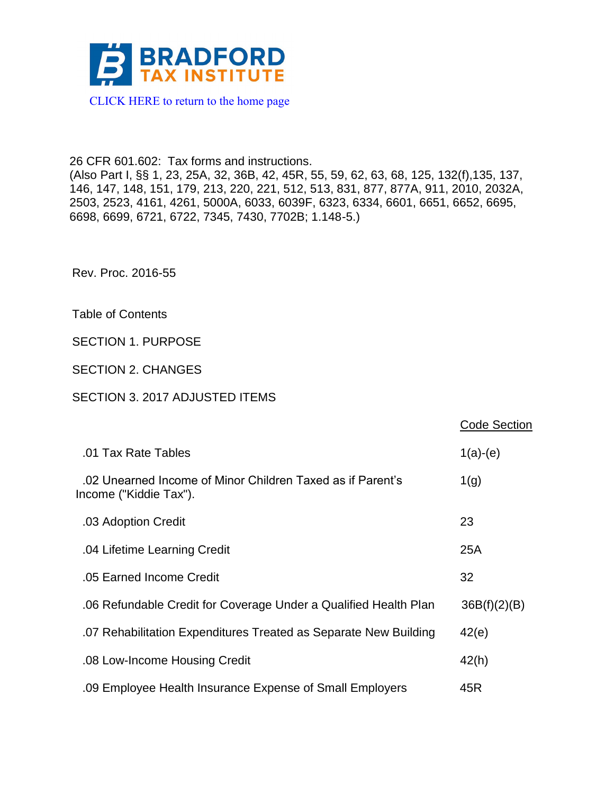

26 CFR 601.602: Tax forms and instructions. (Also Part I, §§ 1, 23, 25A, 32, 36B, 42, 45R, 55, 59, 62, 63, 68, 125, 132(f),135, 137, 146, 147, 148, 151, 179, 213, 220, 221, 512, 513, 831, 877, 877A, 911, 2010, 2032A, 2503, 2523, 4161, 4261, 5000A, 6033, 6039F, 6323, 6334, 6601, 6651, 6652, 6695, 6698, 6699, 6721, 6722, 7345, 7430, 7702B; 1.148-5.)

Rev. Proc. 2016-55

Table of Contents

SECTION 1. PURPOSE

SECTION 2. CHANGES

### SECTION 3. 2017 ADJUSTED ITEMS

|                                                                                      | <b>Code Section</b> |
|--------------------------------------------------------------------------------------|---------------------|
| .01 Tax Rate Tables                                                                  | $1(a)-(e)$          |
| .02 Unearned Income of Minor Children Taxed as if Parent's<br>Income ("Kiddie Tax"). | 1(g)                |
| .03 Adoption Credit                                                                  | 23                  |
| .04 Lifetime Learning Credit                                                         | 25A                 |
| .05 Earned Income Credit                                                             | 32                  |
| .06 Refundable Credit for Coverage Under a Qualified Health Plan                     | 36B(f)(2)(B)        |
| .07 Rehabilitation Expenditures Treated as Separate New Building                     | 42(e)               |
| .08 Low-Income Housing Credit                                                        | 42(h)               |
| .09 Employee Health Insurance Expense of Small Employers                             | 45R                 |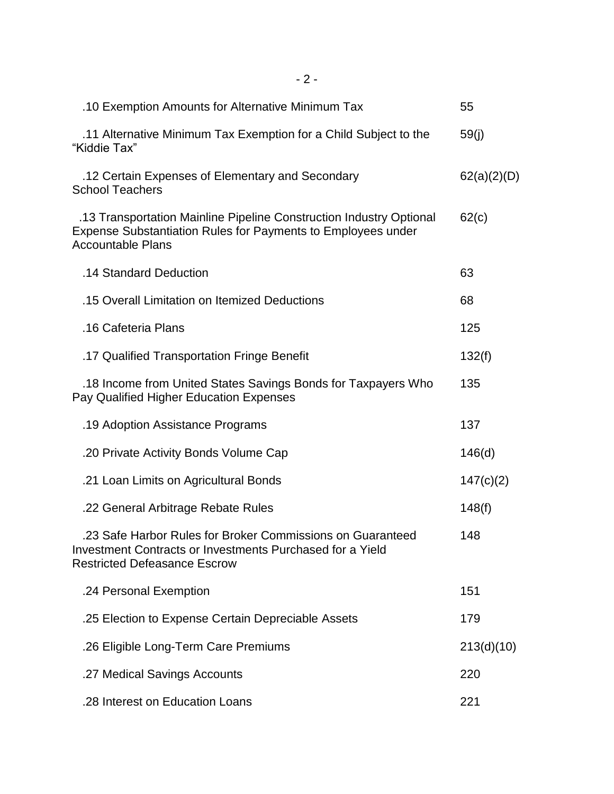| .10 Exemption Amounts for Alternative Minimum Tax                                                                                                                      | 55          |
|------------------------------------------------------------------------------------------------------------------------------------------------------------------------|-------------|
| .11 Alternative Minimum Tax Exemption for a Child Subject to the<br>"Kiddie Tax"                                                                                       | 59(j)       |
| .12 Certain Expenses of Elementary and Secondary<br><b>School Teachers</b>                                                                                             | 62(a)(2)(D) |
| .13 Transportation Mainline Pipeline Construction Industry Optional<br><b>Expense Substantiation Rules for Payments to Employees under</b><br><b>Accountable Plans</b> | 62(c)       |
| .14 Standard Deduction                                                                                                                                                 | 63          |
| .15 Overall Limitation on Itemized Deductions                                                                                                                          | 68          |
| .16 Cafeteria Plans                                                                                                                                                    | 125         |
| .17 Qualified Transportation Fringe Benefit                                                                                                                            | 132(f)      |
| .18 Income from United States Savings Bonds for Taxpayers Who<br>Pay Qualified Higher Education Expenses                                                               | 135         |
| .19 Adoption Assistance Programs                                                                                                                                       | 137         |
| .20 Private Activity Bonds Volume Cap                                                                                                                                  | 146(d)      |
| .21 Loan Limits on Agricultural Bonds                                                                                                                                  | 147(c)(2)   |
| .22 General Arbitrage Rebate Rules                                                                                                                                     | 148(f)      |
| .23 Safe Harbor Rules for Broker Commissions on Guaranteed<br>Investment Contracts or Investments Purchased for a Yield<br><b>Restricted Defeasance Escrow</b>         | 148         |
| .24 Personal Exemption                                                                                                                                                 | 151         |
| .25 Election to Expense Certain Depreciable Assets                                                                                                                     | 179         |
| .26 Eligible Long-Term Care Premiums                                                                                                                                   | 213(d)(10)  |
| .27 Medical Savings Accounts                                                                                                                                           | 220         |
| .28 Interest on Education Loans                                                                                                                                        | 221         |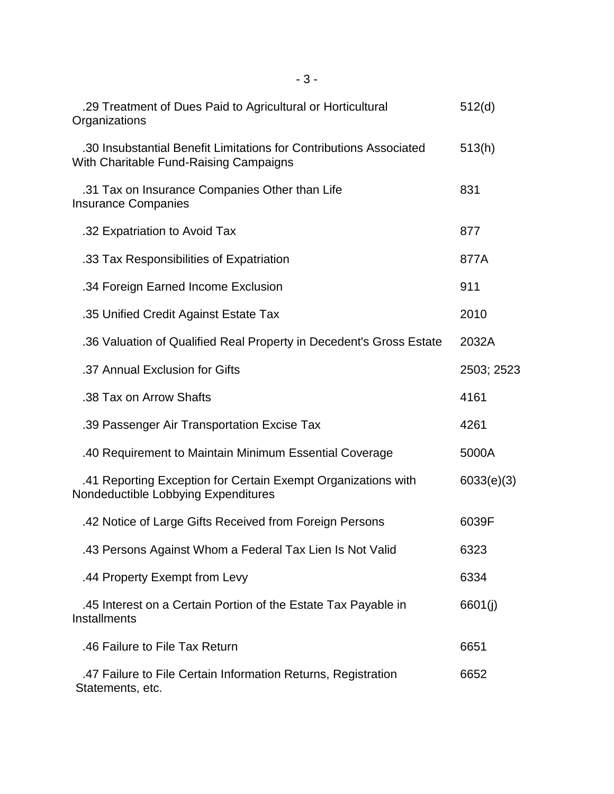| .29 Treatment of Dues Paid to Agricultural or Horticultural<br>Organizations                                 | 512(d)     |
|--------------------------------------------------------------------------------------------------------------|------------|
| .30 Insubstantial Benefit Limitations for Contributions Associated<br>With Charitable Fund-Raising Campaigns | 513(h)     |
| .31 Tax on Insurance Companies Other than Life<br><b>Insurance Companies</b>                                 | 831        |
| .32 Expatriation to Avoid Tax                                                                                | 877        |
| .33 Tax Responsibilities of Expatriation                                                                     | 877A       |
| .34 Foreign Earned Income Exclusion                                                                          | 911        |
| .35 Unified Credit Against Estate Tax                                                                        | 2010       |
| .36 Valuation of Qualified Real Property in Decedent's Gross Estate                                          | 2032A      |
| .37 Annual Exclusion for Gifts                                                                               | 2503; 2523 |
| .38 Tax on Arrow Shafts                                                                                      | 4161       |
| .39 Passenger Air Transportation Excise Tax                                                                  | 4261       |
| .40 Requirement to Maintain Minimum Essential Coverage                                                       | 5000A      |
| .41 Reporting Exception for Certain Exempt Organizations with<br>Nondeductible Lobbying Expenditures         | 6033(e)(3) |
| .42 Notice of Large Gifts Received from Foreign Persons                                                      | 6039F      |
| .43 Persons Against Whom a Federal Tax Lien Is Not Valid                                                     | 6323       |
| .44 Property Exempt from Levy                                                                                | 6334       |
| .45 Interest on a Certain Portion of the Estate Tax Payable in<br><b>Installments</b>                        | 6601(j)    |
| .46 Failure to File Tax Return                                                                               | 6651       |
| .47 Failure to File Certain Information Returns, Registration<br>Statements, etc.                            | 6652       |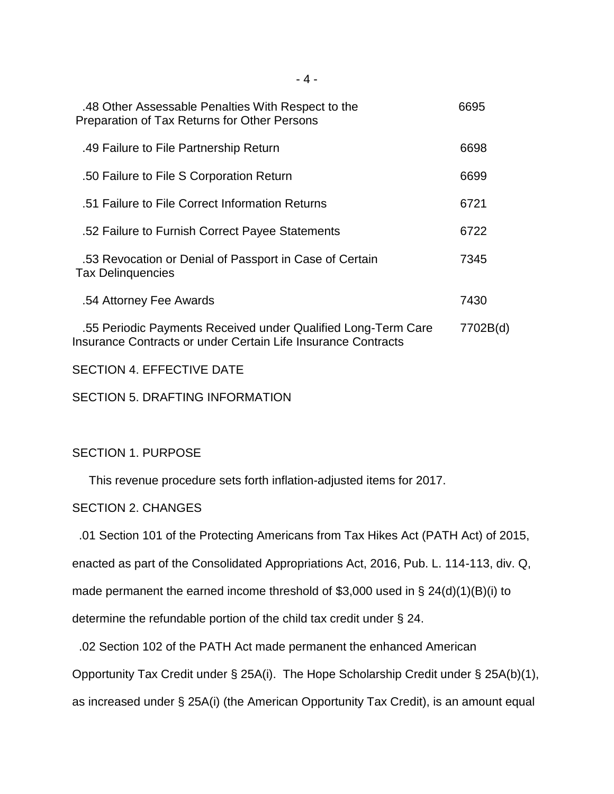| .48 Other Assessable Penalties With Respect to the<br>Preparation of Tax Returns for Other Persons                             | 6695     |
|--------------------------------------------------------------------------------------------------------------------------------|----------|
| .49 Failure to File Partnership Return                                                                                         | 6698     |
| .50 Failure to File S Corporation Return                                                                                       | 6699     |
| .51 Failure to File Correct Information Returns                                                                                | 6721     |
| .52 Failure to Furnish Correct Payee Statements                                                                                | 6722     |
| .53 Revocation or Denial of Passport in Case of Certain<br><b>Tax Delinguencies</b>                                            | 7345     |
| .54 Attorney Fee Awards                                                                                                        | 7430     |
| .55 Periodic Payments Received under Qualified Long-Term Care<br>Insurance Contracts or under Certain Life Insurance Contracts | 7702B(d) |

SECTION 4. EFFECTIVE DATE

SECTION 5. DRAFTING INFORMATION

### SECTION 1. PURPOSE

This revenue procedure sets forth inflation-adjusted items for 2017.

### SECTION 2. CHANGES

.01 Section 101 of the Protecting Americans from Tax Hikes Act (PATH Act) of 2015,

enacted as part of the Consolidated Appropriations Act, 2016, Pub. L. 114-113, div. Q,

made permanent the earned income threshold of \$3,000 used in § 24(d)(1)(B)(i) to

determine the refundable portion of the child tax credit under § 24.

.02 Section 102 of the PATH Act made permanent the enhanced American

Opportunity Tax Credit under § 25A(i). The Hope Scholarship Credit under § 25A(b)(1),

as increased under § 25A(i) (the American Opportunity Tax Credit), is an amount equal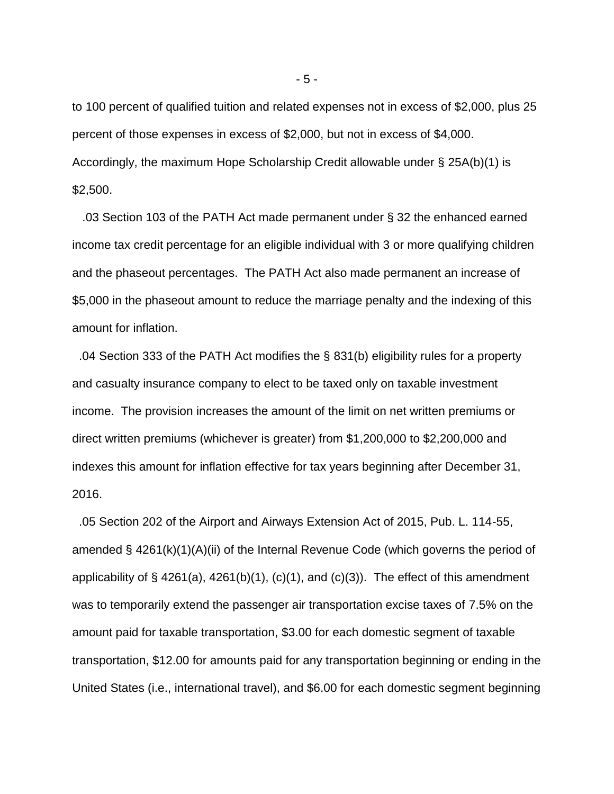to 100 percent of qualified tuition and related expenses not in excess of \$2,000, plus 25 percent of those expenses in excess of \$2,000, but not in excess of \$4,000. Accordingly, the maximum Hope Scholarship Credit allowable under § 25A(b)(1) is \$2,500.

 .03 Section 103 of the PATH Act made permanent under § 32 the enhanced earned income tax credit percentage for an eligible individual with 3 or more qualifying children and the phaseout percentages. The PATH Act also made permanent an increase of \$5,000 in the phaseout amount to reduce the marriage penalty and the indexing of this amount for inflation.

 .04 Section 333 of the PATH Act modifies the § 831(b) eligibility rules for a property and casualty insurance company to elect to be taxed only on taxable investment income. The provision increases the amount of the limit on net written premiums or direct written premiums (whichever is greater) from \$1,200,000 to \$2,200,000 and indexes this amount for inflation effective for tax years beginning after December 31, 2016.

 .05 Section 202 of the Airport and Airways Extension Act of 2015, Pub. L. 114-55, amended § 4261(k)(1)(A)(ii) of the Internal Revenue Code (which governs the period of applicability of  $\S$  4261(a), 4261(b)(1), (c)(1), and (c)(3)). The effect of this amendment was to temporarily extend the passenger air transportation excise taxes of 7.5% on the amount paid for taxable transportation, \$3.00 for each domestic segment of taxable transportation, \$12.00 for amounts paid for any transportation beginning or ending in the United States (i.e., international travel), and \$6.00 for each domestic segment beginning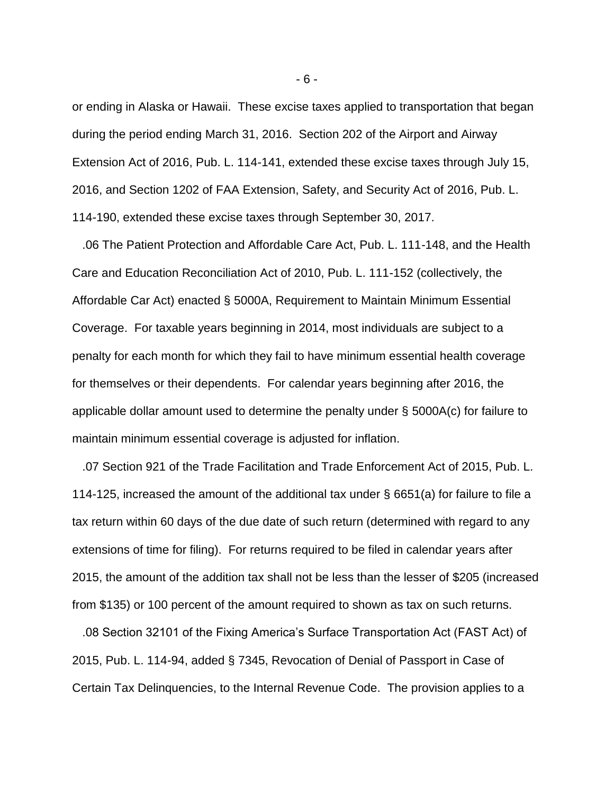or ending in Alaska or Hawaii. These excise taxes applied to transportation that began during the period ending March 31, 2016. Section 202 of the Airport and Airway Extension Act of 2016, Pub. L. 114-141, extended these excise taxes through July 15, 2016, and Section 1202 of FAA Extension, Safety, and Security Act of 2016, Pub. L. 114-190, extended these excise taxes through September 30, 2017.

 .06 The Patient Protection and Affordable Care Act, Pub. L. 111-148, and the Health Care and Education Reconciliation Act of 2010, Pub. L. 111-152 (collectively, the Affordable Car Act) enacted § 5000A, Requirement to Maintain Minimum Essential Coverage. For taxable years beginning in 2014, most individuals are subject to a penalty for each month for which they fail to have minimum essential health coverage for themselves or their dependents. For calendar years beginning after 2016, the applicable dollar amount used to determine the penalty under § 5000A(c) for failure to maintain minimum essential coverage is adjusted for inflation.

 .07 Section 921 of the Trade Facilitation and Trade Enforcement Act of 2015, Pub. L. 114-125, increased the amount of the additional tax under § 6651(a) for failure to file a tax return within 60 days of the due date of such return (determined with regard to any extensions of time for filing). For returns required to be filed in calendar years after 2015, the amount of the addition tax shall not be less than the lesser of \$205 (increased from \$135) or 100 percent of the amount required to shown as tax on such returns.

 .08 Section 32101 of the Fixing America's Surface Transportation Act (FAST Act) of 2015, Pub. L. 114-94, added § 7345, Revocation of Denial of Passport in Case of Certain Tax Delinquencies, to the Internal Revenue Code. The provision applies to a

- 6 -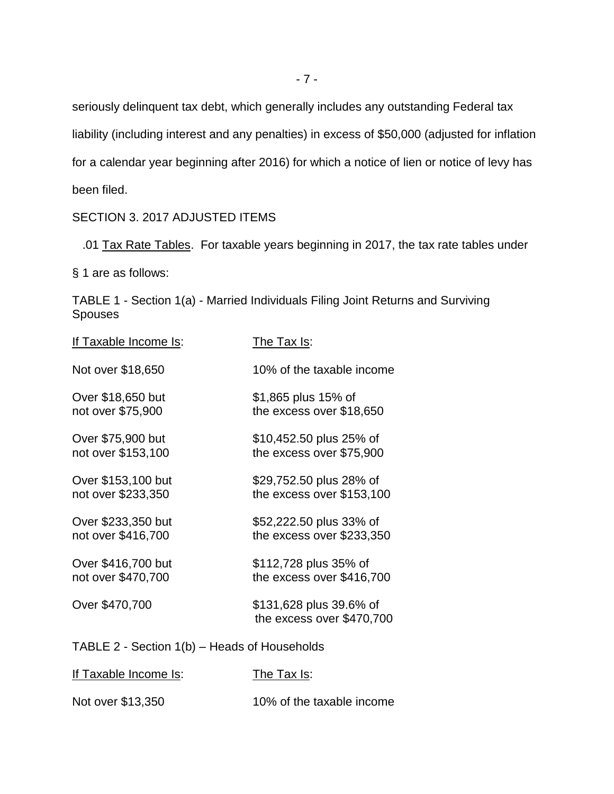seriously delinquent tax debt, which generally includes any outstanding Federal tax liability (including interest and any penalties) in excess of \$50,000 (adjusted for inflation for a calendar year beginning after 2016) for which a notice of lien or notice of levy has been filed.

### SECTION 3. 2017 ADJUSTED ITEMS

.01 Tax Rate Tables. For taxable years beginning in 2017, the tax rate tables under

§ 1 are as follows:

TABLE 1 - Section 1(a) - Married Individuals Filing Joint Returns and Surviving Spouses

| If Taxable Income Is: | The Tax Is:                                          |
|-----------------------|------------------------------------------------------|
| Not over \$18,650     | 10% of the taxable income                            |
| Over \$18,650 but     | \$1,865 plus 15% of                                  |
| not over \$75,900     | the excess over \$18,650                             |
| Over \$75,900 but     | \$10,452.50 plus 25% of                              |
| not over \$153,100    | the excess over \$75,900                             |
| Over \$153,100 but    | \$29,752.50 plus 28% of                              |
| not over \$233,350    | the excess over \$153,100                            |
| Over \$233,350 but    | \$52,222.50 plus 33% of                              |
| not over \$416,700    | the excess over \$233,350                            |
| Over \$416,700 but    | \$112,728 plus 35% of                                |
| not over \$470,700    | the excess over \$416,700                            |
| Over \$470,700        | \$131,628 plus 39.6% of<br>the excess over \$470,700 |
|                       |                                                      |

TABLE 2 - Section 1(b) – Heads of Households

| If Taxable Income Is: | The Tax Is:               |
|-----------------------|---------------------------|
| Not over \$13,350     | 10% of the taxable income |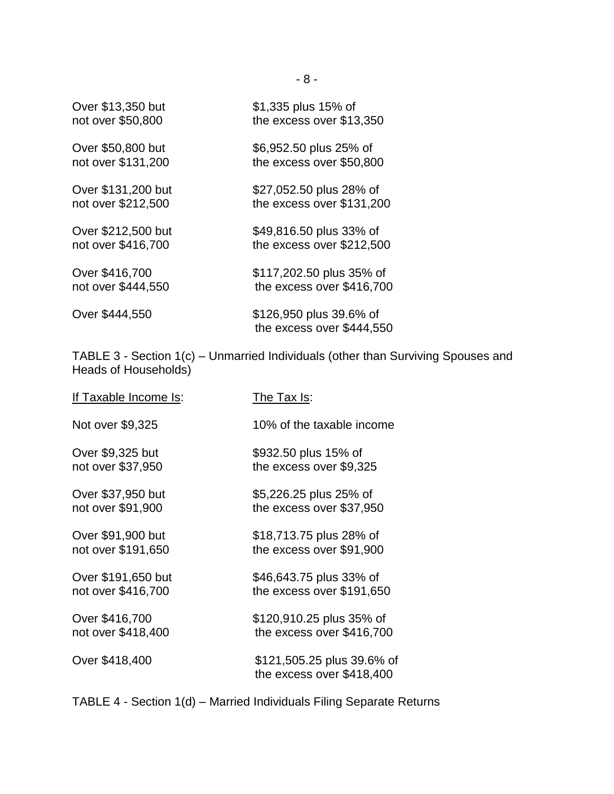| Over \$13,350 but  | \$1,335 plus 15% of                                  |
|--------------------|------------------------------------------------------|
| not over \$50,800  | the excess over \$13,350                             |
| Over \$50,800 but  | \$6,952.50 plus 25% of                               |
| not over \$131,200 | the excess over \$50,800                             |
| Over \$131,200 but | \$27,052.50 plus 28% of                              |
| not over \$212,500 | the excess over \$131,200                            |
| Over \$212,500 but | \$49,816.50 plus 33% of                              |
| not over \$416,700 | the excess over \$212,500                            |
| Over \$416,700     | \$117,202.50 plus 35% of                             |
| not over \$444,550 | the excess over \$416,700                            |
| Over \$444,550     | \$126,950 plus 39.6% of<br>the excess over \$444,550 |

TABLE 3 - Section 1(c) – Unmarried Individuals (other than Surviving Spouses and Heads of Households)

| If Taxable Income Is: | The Tax Is:                                             |
|-----------------------|---------------------------------------------------------|
| Not over \$9,325      | 10% of the taxable income                               |
| Over \$9,325 but      | \$932.50 plus 15% of                                    |
| not over \$37,950     | the excess over \$9,325                                 |
| Over \$37,950 but     | \$5,226.25 plus 25% of                                  |
| not over \$91,900     | the excess over \$37,950                                |
| Over \$91,900 but     | \$18,713.75 plus 28% of                                 |
| not over \$191,650    | the excess over \$91,900                                |
| Over \$191,650 but    | \$46,643.75 plus 33% of                                 |
| not over \$416,700    | the excess over \$191,650                               |
| Over \$416,700        | \$120,910.25 plus 35% of                                |
| not over \$418,400    | the excess over \$416,700                               |
| Over \$418,400        | \$121,505.25 plus 39.6% of<br>the excess over \$418,400 |

TABLE 4 - Section 1(d) – Married Individuals Filing Separate Returns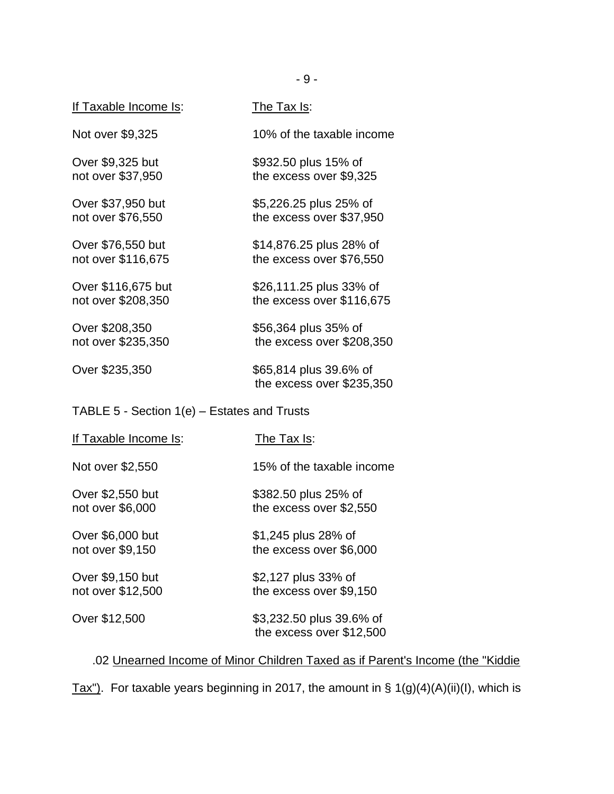| <u>If Taxable Income Is</u> :               | The Tax Is:                                         |
|---------------------------------------------|-----------------------------------------------------|
| Not over \$9,325                            | 10% of the taxable income                           |
| Over \$9,325 but                            | \$932.50 plus 15% of                                |
| not over \$37,950                           | the excess over \$9,325                             |
| Over \$37,950 but                           | \$5,226.25 plus 25% of                              |
| not over \$76,550                           | the excess over \$37,950                            |
| Over \$76,550 but                           | \$14,876.25 plus 28% of                             |
| not over \$116,675                          | the excess over \$76,550                            |
| Over \$116,675 but                          | \$26,111.25 plus 33% of                             |
| not over \$208,350                          | the excess over \$116,675                           |
| Over \$208,350                              | \$56,364 plus 35% of                                |
| not over \$235,350                          | the excess over \$208,350                           |
| Over \$235,350                              | \$65,814 plus 39.6% of<br>the excess over \$235,350 |
| TABLE 5 - Section 1(e) - Estates and Trusts |                                                     |
| <u>If Taxable Income Is:</u>                | The Tax Is:                                         |
| Not over \$2,550                            | 15% of the taxable income                           |
| Over \$2,550 but                            | \$382.50 plus 25% of                                |
| not over \$6,000                            | the excess over \$2,550                             |
| Over \$6,000 but                            | \$1,245 plus 28% of                                 |
| not over \$9,150                            | the excess over \$6,000                             |
| Over \$9,150 but                            | \$2,127 plus 33% of                                 |
| not over \$12,500                           | the excess over \$9,150                             |
| Over \$12,500                               | \$3,232.50 plus 39.6% of                            |

# .02 Unearned Income of Minor Children Taxed as if Parent's Income (the "Kiddie

the excess over \$12,500

Tax"). For taxable years beginning in 2017, the amount in § 1(g)(4)(A)(ii)(I), which is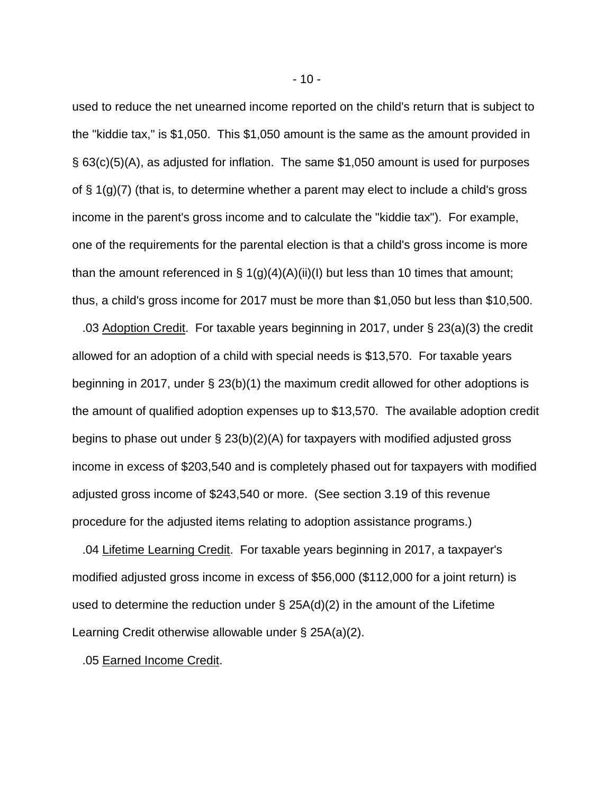used to reduce the net unearned income reported on the child's return that is subject to the "kiddie tax," is \$1,050. This \$1,050 amount is the same as the amount provided in § 63(c)(5)(A), as adjusted for inflation. The same \$1,050 amount is used for purposes of  $\S$  1(g)(7) (that is, to determine whether a parent may elect to include a child's gross income in the parent's gross income and to calculate the "kiddie tax"). For example, one of the requirements for the parental election is that a child's gross income is more than the amount referenced in  $\S 1(g)(4)(A)(ii)(I)$  but less than 10 times that amount; thus, a child's gross income for 2017 must be more than \$1,050 but less than \$10,500.

 .03 Adoption Credit. For taxable years beginning in 2017, under § 23(a)(3) the credit allowed for an adoption of a child with special needs is \$13,570. For taxable years beginning in 2017, under § 23(b)(1) the maximum credit allowed for other adoptions is the amount of qualified adoption expenses up to \$13,570. The available adoption credit begins to phase out under § 23(b)(2)(A) for taxpayers with modified adjusted gross income in excess of \$203,540 and is completely phased out for taxpayers with modified adjusted gross income of \$243,540 or more. (See section 3.19 of this revenue procedure for the adjusted items relating to adoption assistance programs.)

 .04 Lifetime Learning Credit. For taxable years beginning in 2017, a taxpayer's modified adjusted gross income in excess of \$56,000 (\$112,000 for a joint return) is used to determine the reduction under § 25A(d)(2) in the amount of the Lifetime Learning Credit otherwise allowable under § 25A(a)(2).

.05 Earned Income Credit.

- 10 -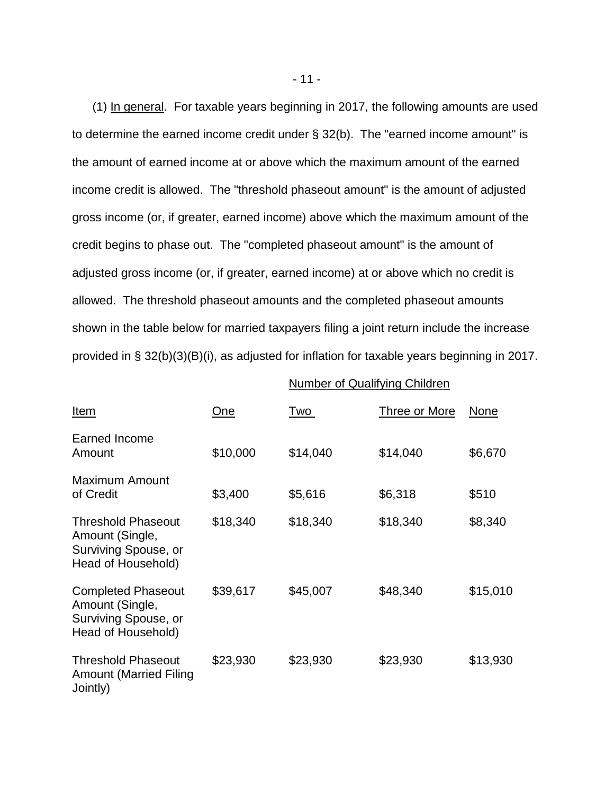(1) In general. For taxable years beginning in 2017, the following amounts are used to determine the earned income credit under § 32(b). The "earned income amount" is the amount of earned income at or above which the maximum amount of the earned income credit is allowed. The "threshold phaseout amount" is the amount of adjusted gross income (or, if greater, earned income) above which the maximum amount of the credit begins to phase out. The "completed phaseout amount" is the amount of adjusted gross income (or, if greater, earned income) at or above which no credit is allowed. The threshold phaseout amounts and the completed phaseout amounts shown in the table below for married taxpayers filing a joint return include the increase provided in § 32(b)(3)(B)(i), as adjusted for inflation for taxable years beginning in 2017.

| Item                                                                                       | One      | Two      | Three or More | None     |
|--------------------------------------------------------------------------------------------|----------|----------|---------------|----------|
| Earned Income<br>Amount                                                                    | \$10,000 | \$14,040 | \$14,040      | \$6,670  |
| Maximum Amount<br>of Credit                                                                | \$3,400  | \$5,616  | \$6,318       | \$510    |
| <b>Threshold Phaseout</b><br>Amount (Single,<br>Surviving Spouse, or<br>Head of Household) | \$18,340 | \$18,340 | \$18,340      | \$8,340  |
| <b>Completed Phaseout</b><br>Amount (Single,<br>Surviving Spouse, or<br>Head of Household) | \$39,617 | \$45,007 | \$48,340      | \$15,010 |
| <b>Threshold Phaseout</b><br><b>Amount (Married Filing</b><br>Jointly)                     | \$23,930 | \$23,930 | \$23,930      | \$13,930 |

Number of Qualifying Children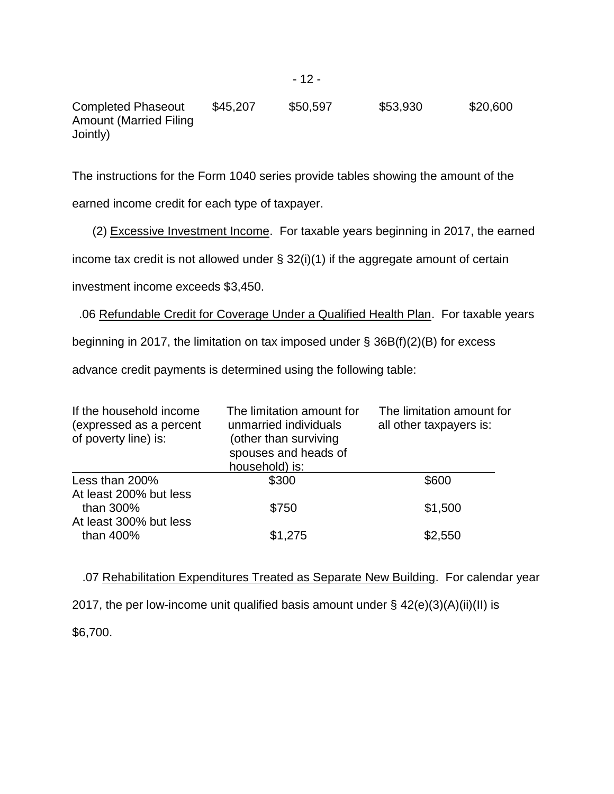### Completed Phaseout \$45,207 \$50,597 \$53,930 \$20,600 Amount (Married Filing Jointly)

The instructions for the Form 1040 series provide tables showing the amount of the

earned income credit for each type of taxpayer.

(2) Excessive Investment Income. For taxable years beginning in 2017, the earned

income tax credit is not allowed under  $\S$  32(i)(1) if the aggregate amount of certain

investment income exceeds \$3,450.

.06 Refundable Credit for Coverage Under a Qualified Health Plan. For taxable years

beginning in 2017, the limitation on tax imposed under § 36B(f)(2)(B) for excess

advance credit payments is determined using the following table:

| If the household income<br>(expressed as a percent<br>of poverty line) is: | The limitation amount for<br>unmarried individuals<br>(other than surviving<br>spouses and heads of<br>household) is: | The limitation amount for<br>all other taxpayers is: |
|----------------------------------------------------------------------------|-----------------------------------------------------------------------------------------------------------------------|------------------------------------------------------|
| Less than 200%<br>At least 200% but less                                   | \$300                                                                                                                 | \$600                                                |
| than 300%                                                                  | \$750                                                                                                                 | \$1,500                                              |
| At least 300% but less<br>than 400%                                        | \$1,275                                                                                                               | \$2,550                                              |

.07 Rehabilitation Expenditures Treated as Separate New Building. For calendar year

2017, the per low-income unit qualified basis amount under  $\S$  42(e)(3)(A)(ii)(II) is

\$6,700.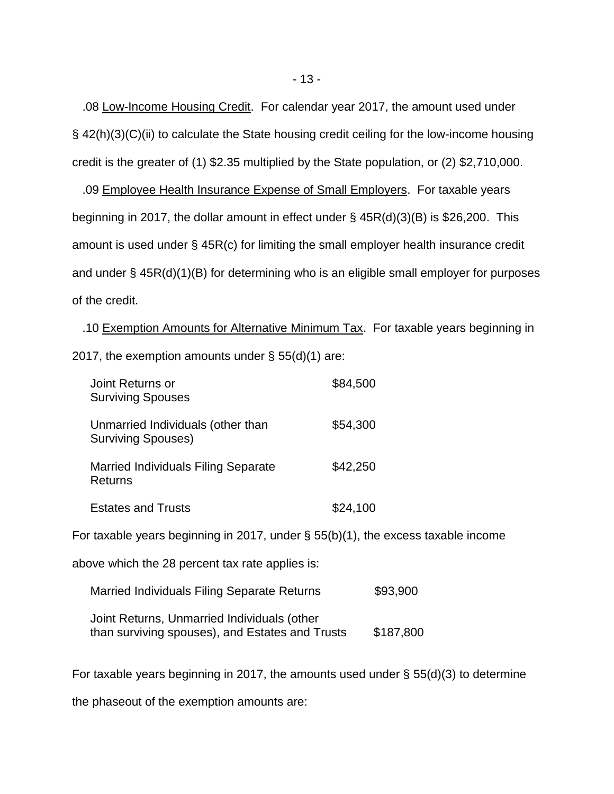.08 Low-Income Housing Credit. For calendar year 2017, the amount used under § 42(h)(3)(C)(ii) to calculate the State housing credit ceiling for the low-income housing credit is the greater of (1) \$2.35 multiplied by the State population, or (2) \$2,710,000.

 .09 Employee Health Insurance Expense of Small Employers. For taxable years beginning in 2017, the dollar amount in effect under § 45R(d)(3)(B) is \$26,200. This amount is used under § 45R(c) for limiting the small employer health insurance credit and under § 45R(d)(1)(B) for determining who is an eligible small employer for purposes of the credit.

 .10 Exemption Amounts for Alternative Minimum Tax. For taxable years beginning in 2017, the exemption amounts under  $\S$  55(d)(1) are:

| Joint Returns or<br><b>Surviving Spouses</b>                   | \$84,500 |
|----------------------------------------------------------------|----------|
| Unmarried Individuals (other than<br><b>Surviving Spouses)</b> | \$54,300 |
| <b>Married Individuals Filing Separate</b><br>Returns          | \$42,250 |
| <b>Estates and Trusts</b>                                      | \$24,100 |

For taxable years beginning in 2017, under § 55(b)(1), the excess taxable income

above which the 28 percent tax rate applies is:

| Married Individuals Filing Separate Returns     | \$93,900  |
|-------------------------------------------------|-----------|
| Joint Returns, Unmarried Individuals (other     | \$187,800 |
| than surviving spouses), and Estates and Trusts |           |

For taxable years beginning in 2017, the amounts used under  $\S$  55(d)(3) to determine

the phaseout of the exemption amounts are: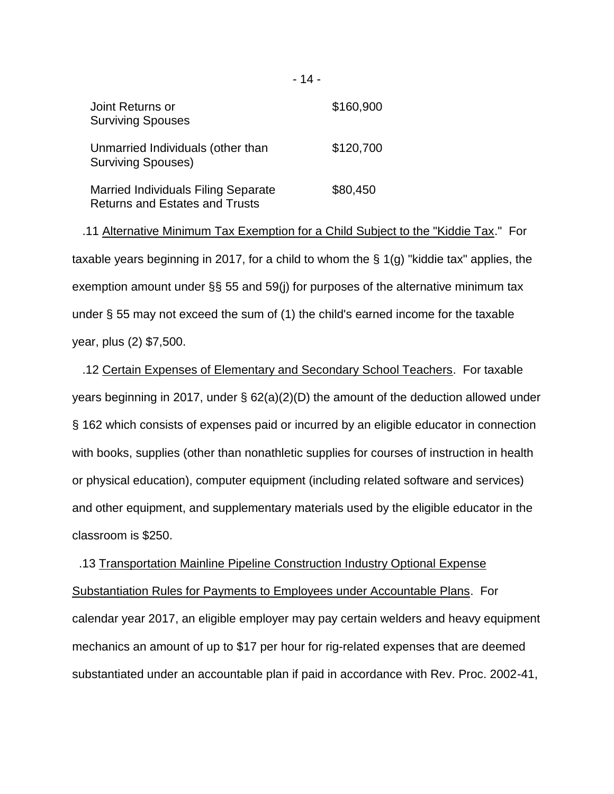| Joint Returns or<br><b>Surviving Spouses</b>                                        | \$160,900 |
|-------------------------------------------------------------------------------------|-----------|
| Unmarried Individuals (other than<br><b>Surviving Spouses)</b>                      | \$120,700 |
| <b>Married Individuals Filing Separate</b><br><b>Returns and Estates and Trusts</b> | \$80,450  |

 .11 Alternative Minimum Tax Exemption for a Child Subject to the "Kiddie Tax." For taxable years beginning in 2017, for a child to whom the § 1(g) "kiddie tax" applies, the exemption amount under §§ 55 and 59(j) for purposes of the alternative minimum tax under § 55 may not exceed the sum of (1) the child's earned income for the taxable year, plus (2) \$7,500.

 .12 Certain Expenses of Elementary and Secondary School Teachers. For taxable years beginning in 2017, under  $\S$  62(a)(2)(D) the amount of the deduction allowed under § 162 which consists of expenses paid or incurred by an eligible educator in connection with books, supplies (other than nonathletic supplies for courses of instruction in health or physical education), computer equipment (including related software and services) and other equipment, and supplementary materials used by the eligible educator in the classroom is \$250.

 .13 Transportation Mainline Pipeline Construction Industry Optional Expense Substantiation Rules for Payments to Employees under Accountable Plans. For calendar year 2017, an eligible employer may pay certain welders and heavy equipment mechanics an amount of up to \$17 per hour for rig-related expenses that are deemed substantiated under an accountable plan if paid in accordance with Rev. Proc. 2002-41,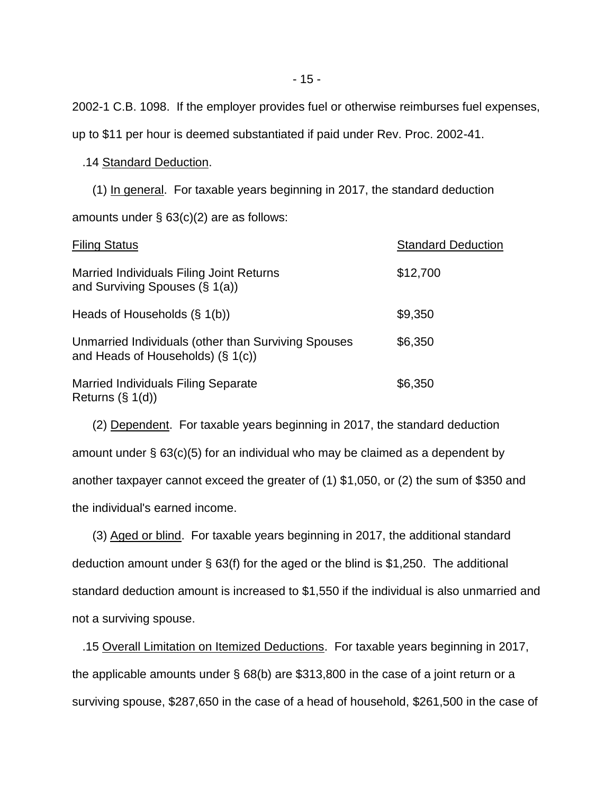- 15 -

2002-1 C.B. 1098. If the employer provides fuel or otherwise reimburses fuel expenses,

up to \$11 per hour is deemed substantiated if paid under Rev. Proc. 2002-41.

#### .14 Standard Deduction.

 (1) In general. For taxable years beginning in 2017, the standard deduction amounts under § 63(c)(2) are as follows:

| <b>Filing Status</b>                                                                        | <b>Standard Deduction</b> |
|---------------------------------------------------------------------------------------------|---------------------------|
| <b>Married Individuals Filing Joint Returns</b><br>and Surviving Spouses $(\S 1(a))$        | \$12,700                  |
| Heads of Households $(\S 1(b))$                                                             | \$9,350                   |
| Unmarried Individuals (other than Surviving Spouses<br>and Heads of Households) $(\S 1(c))$ | \$6,350                   |
| Married Individuals Filing Separate<br>Returns $(\S 1(d))$                                  | \$6,350                   |

 (2) Dependent. For taxable years beginning in 2017, the standard deduction amount under § 63(c)(5) for an individual who may be claimed as a dependent by another taxpayer cannot exceed the greater of (1) \$1,050, or (2) the sum of \$350 and the individual's earned income.

 (3) Aged or blind. For taxable years beginning in 2017, the additional standard deduction amount under § 63(f) for the aged or the blind is \$1,250. The additional standard deduction amount is increased to \$1,550 if the individual is also unmarried and not a surviving spouse.

 .15 Overall Limitation on Itemized Deductions. For taxable years beginning in 2017, the applicable amounts under § 68(b) are \$313,800 in the case of a joint return or a surviving spouse, \$287,650 in the case of a head of household, \$261,500 in the case of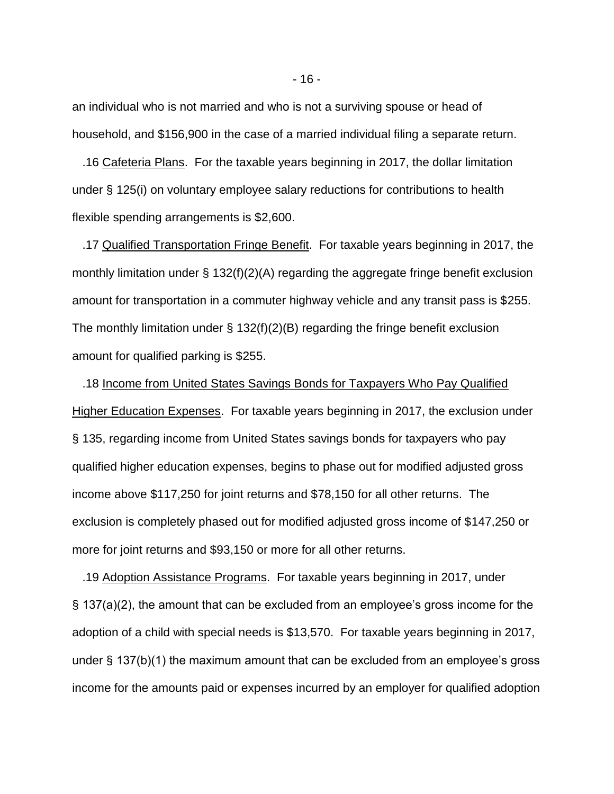an individual who is not married and who is not a surviving spouse or head of household, and \$156,900 in the case of a married individual filing a separate return.

 .16 Cafeteria Plans. For the taxable years beginning in 2017, the dollar limitation under § 125(i) on voluntary employee salary reductions for contributions to health flexible spending arrangements is \$2,600.

 .17 Qualified Transportation Fringe Benefit. For taxable years beginning in 2017, the monthly limitation under § 132(f)(2)(A) regarding the aggregate fringe benefit exclusion amount for transportation in a commuter highway vehicle and any transit pass is \$255. The monthly limitation under § 132(f)(2)(B) regarding the fringe benefit exclusion amount for qualified parking is \$255.

 .18 Income from United States Savings Bonds for Taxpayers Who Pay Qualified Higher Education Expenses. For taxable years beginning in 2017, the exclusion under § 135, regarding income from United States savings bonds for taxpayers who pay qualified higher education expenses, begins to phase out for modified adjusted gross income above \$117,250 for joint returns and \$78,150 for all other returns. The exclusion is completely phased out for modified adjusted gross income of \$147,250 or more for joint returns and \$93,150 or more for all other returns.

 .19 Adoption Assistance Programs. For taxable years beginning in 2017, under § 137(a)(2), the amount that can be excluded from an employee's gross income for the adoption of a child with special needs is \$13,570. For taxable years beginning in 2017, under § 137(b)(1) the maximum amount that can be excluded from an employee's gross income for the amounts paid or expenses incurred by an employer for qualified adoption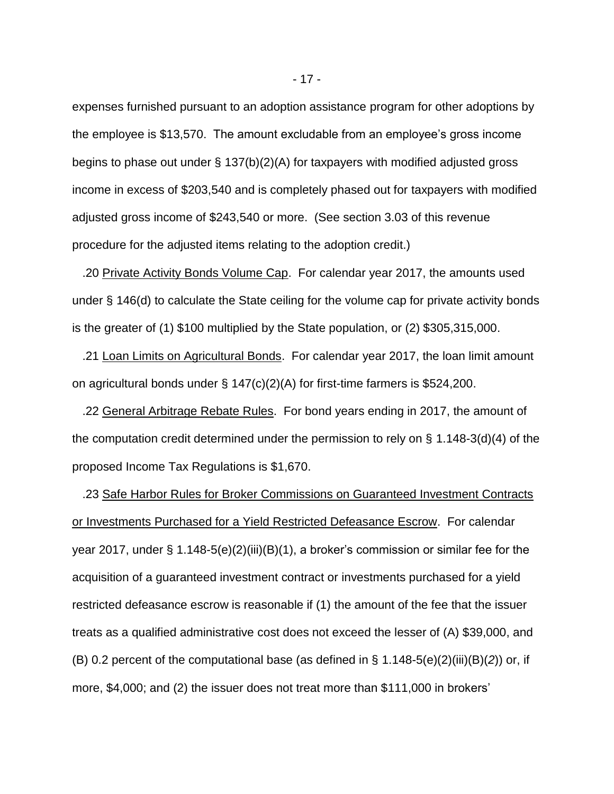expenses furnished pursuant to an adoption assistance program for other adoptions by the employee is \$13,570. The amount excludable from an employee's gross income begins to phase out under § 137(b)(2)(A) for taxpayers with modified adjusted gross income in excess of \$203,540 and is completely phased out for taxpayers with modified adjusted gross income of \$243,540 or more. (See section 3.03 of this revenue procedure for the adjusted items relating to the adoption credit.)

 .20 Private Activity Bonds Volume Cap. For calendar year 2017, the amounts used under § 146(d) to calculate the State ceiling for the volume cap for private activity bonds is the greater of (1) \$100 multiplied by the State population, or (2) \$305,315,000.

 .21 Loan Limits on Agricultural Bonds. For calendar year 2017, the loan limit amount on agricultural bonds under § 147(c)(2)(A) for first-time farmers is \$524,200.

 .22 General Arbitrage Rebate Rules. For bond years ending in 2017, the amount of the computation credit determined under the permission to rely on § 1.148-3(d)(4) of the proposed Income Tax Regulations is \$1,670.

 .23 Safe Harbor Rules for Broker Commissions on Guaranteed Investment Contracts or Investments Purchased for a Yield Restricted Defeasance Escrow. For calendar year 2017, under § 1.148-5(e)(2)(iii)(B)(1), a broker's commission or similar fee for the acquisition of a guaranteed investment contract or investments purchased for a yield restricted defeasance escrow is reasonable if (1) the amount of the fee that the issuer treats as a qualified administrative cost does not exceed the lesser of (A) \$39,000, and (B) 0.2 percent of the computational base (as defined in § 1.148-5(e)(2)(iii)(B)(*2*)) or, if more, \$4,000; and (2) the issuer does not treat more than \$111,000 in brokers'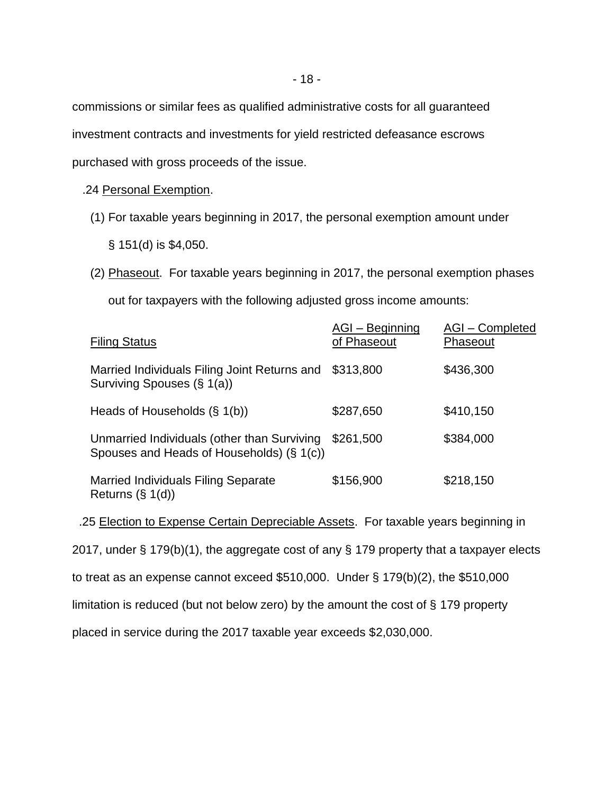commissions or similar fees as qualified administrative costs for all guaranteed investment contracts and investments for yield restricted defeasance escrows purchased with gross proceeds of the issue.

.24 Personal Exemption.

(1) For taxable years beginning in 2017, the personal exemption amount under

§ 151(d) is \$4,050.

(2) Phaseout. For taxable years beginning in 2017, the personal exemption phases

out for taxpayers with the following adjusted gross income amounts:

| <b>Filing Status</b>                                                                     | AGI - Beginning<br>of Phaseout | <b>AGI-Completed</b><br>Phaseout |
|------------------------------------------------------------------------------------------|--------------------------------|----------------------------------|
| Married Individuals Filing Joint Returns and<br>Surviving Spouses (§ 1(a))               | \$313,800                      | \$436,300                        |
| Heads of Households $(\S 1(b))$                                                          | \$287,650                      | \$410,150                        |
| Unmarried Individuals (other than Surviving<br>Spouses and Heads of Households) (§ 1(c)) | \$261,500                      | \$384,000                        |
| <b>Married Individuals Filing Separate</b><br>Returns $(\S 1(d))$                        | \$156,900                      | \$218,150                        |

.25 Election to Expense Certain Depreciable Assets. For taxable years beginning in

2017, under § 179(b)(1), the aggregate cost of any § 179 property that a taxpayer elects

to treat as an expense cannot exceed \$510,000. Under § 179(b)(2), the \$510,000

limitation is reduced (but not below zero) by the amount the cost of § 179 property

placed in service during the 2017 taxable year exceeds \$2,030,000.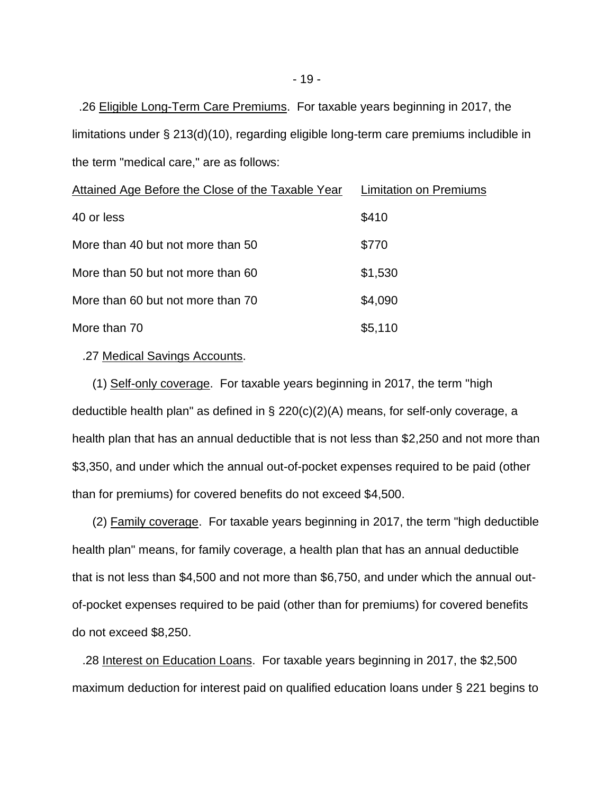.26 Eligible Long-Term Care Premiums. For taxable years beginning in 2017, the limitations under § 213(d)(10), regarding eligible long-term care premiums includible in the term "medical care," are as follows:

| Attained Age Before the Close of the Taxable Year | <b>Limitation on Premiums</b> |
|---------------------------------------------------|-------------------------------|
| 40 or less                                        | \$410                         |
| More than 40 but not more than 50                 | \$770                         |
| More than 50 but not more than 60                 | \$1,530                       |
| More than 60 but not more than 70                 | \$4,090                       |
| More than 70                                      | \$5,110                       |

#### .27 Medical Savings Accounts.

 (1) Self-only coverage. For taxable years beginning in 2017, the term "high deductible health plan" as defined in § 220(c)(2)(A) means, for self-only coverage, a health plan that has an annual deductible that is not less than \$2,250 and not more than \$3,350, and under which the annual out-of-pocket expenses required to be paid (other than for premiums) for covered benefits do not exceed \$4,500.

 (2) Family coverage. For taxable years beginning in 2017, the term "high deductible health plan" means, for family coverage, a health plan that has an annual deductible that is not less than \$4,500 and not more than \$6,750, and under which the annual outof-pocket expenses required to be paid (other than for premiums) for covered benefits do not exceed \$8,250.

 .28 Interest on Education Loans. For taxable years beginning in 2017, the \$2,500 maximum deduction for interest paid on qualified education loans under § 221 begins to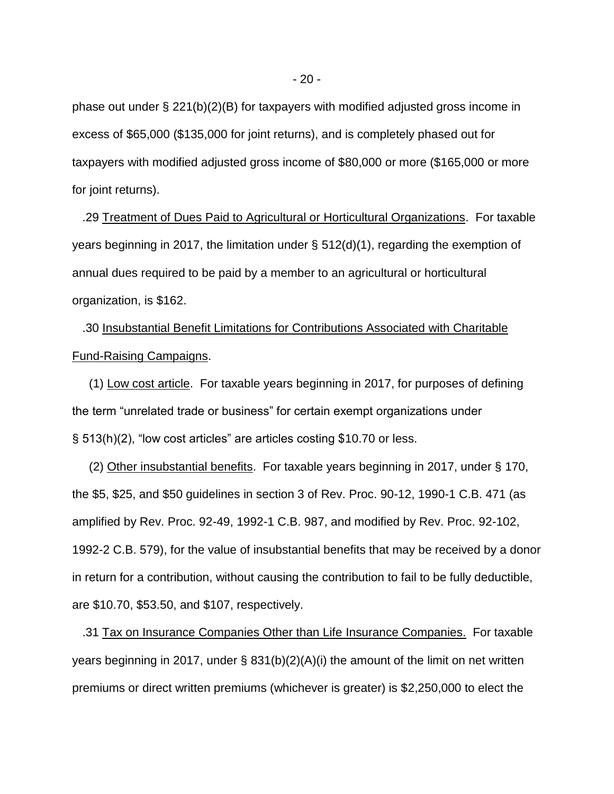phase out under § 221(b)(2)(B) for taxpayers with modified adjusted gross income in excess of \$65,000 (\$135,000 for joint returns), and is completely phased out for taxpayers with modified adjusted gross income of \$80,000 or more (\$165,000 or more for joint returns).

 .29 Treatment of Dues Paid to Agricultural or Horticultural Organizations. For taxable years beginning in 2017, the limitation under § 512(d)(1), regarding the exemption of annual dues required to be paid by a member to an agricultural or horticultural organization, is \$162.

 .30 Insubstantial Benefit Limitations for Contributions Associated with Charitable Fund-Raising Campaigns.

 (1) Low cost article. For taxable years beginning in 2017, for purposes of defining the term "unrelated trade or business" for certain exempt organizations under § 513(h)(2), "low cost articles" are articles costing \$10.70 or less.

 (2) Other insubstantial benefits. For taxable years beginning in 2017, under § 170, the \$5, \$25, and \$50 guidelines in section 3 of Rev. Proc. 90-12, 1990-1 C.B. 471 (as amplified by Rev. Proc. 92-49, 1992-1 C.B. 987, and modified by Rev. Proc. 92-102, 1992-2 C.B. 579), for the value of insubstantial benefits that may be received by a donor in return for a contribution, without causing the contribution to fail to be fully deductible, are \$10.70, \$53.50, and \$107, respectively.

 .31 Tax on Insurance Companies Other than Life Insurance Companies. For taxable years beginning in 2017, under § 831(b)(2)(A)(i) the amount of the limit on net written premiums or direct written premiums (whichever is greater) is \$2,250,000 to elect the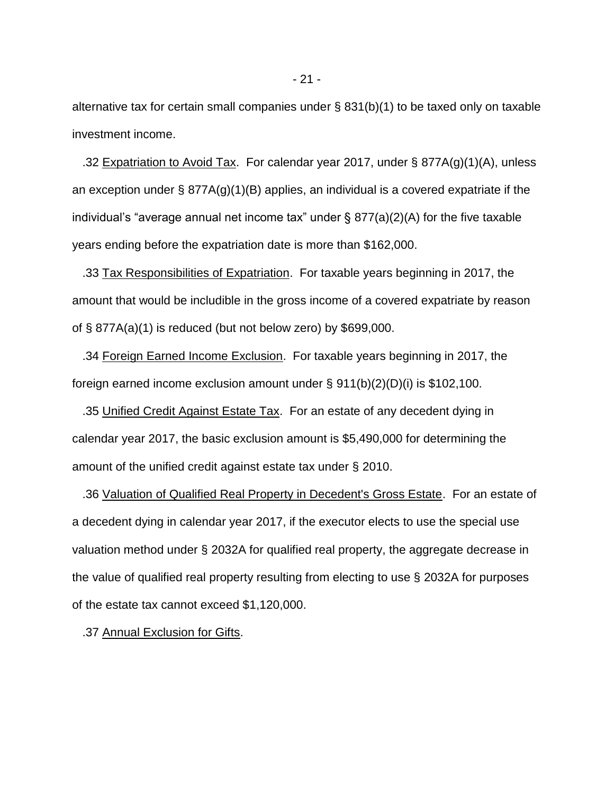alternative tax for certain small companies under § 831(b)(1) to be taxed only on taxable investment income.

.32 Expatriation to Avoid Tax. For calendar year 2017, under § 877A(g)(1)(A), unless an exception under  $\S$  877A(g)(1)(B) applies, an individual is a covered expatriate if the individual's "average annual net income tax" under  $\S 877(a)(2)(A)$  for the five taxable years ending before the expatriation date is more than \$162,000.

 .33 Tax Responsibilities of Expatriation. For taxable years beginning in 2017, the amount that would be includible in the gross income of a covered expatriate by reason of § 877A(a)(1) is reduced (but not below zero) by \$699,000.

 .34 Foreign Earned Income Exclusion. For taxable years beginning in 2017, the foreign earned income exclusion amount under  $\S$  911(b)(2)(D)(i) is \$102,100.

 .35 Unified Credit Against Estate Tax. For an estate of any decedent dying in calendar year 2017, the basic exclusion amount is \$5,490,000 for determining the amount of the unified credit against estate tax under § 2010.

 .36 Valuation of Qualified Real Property in Decedent's Gross Estate. For an estate of a decedent dying in calendar year 2017, if the executor elects to use the special use valuation method under § 2032A for qualified real property, the aggregate decrease in the value of qualified real property resulting from electing to use § 2032A for purposes of the estate tax cannot exceed \$1,120,000.

.37 Annual Exclusion for Gifts.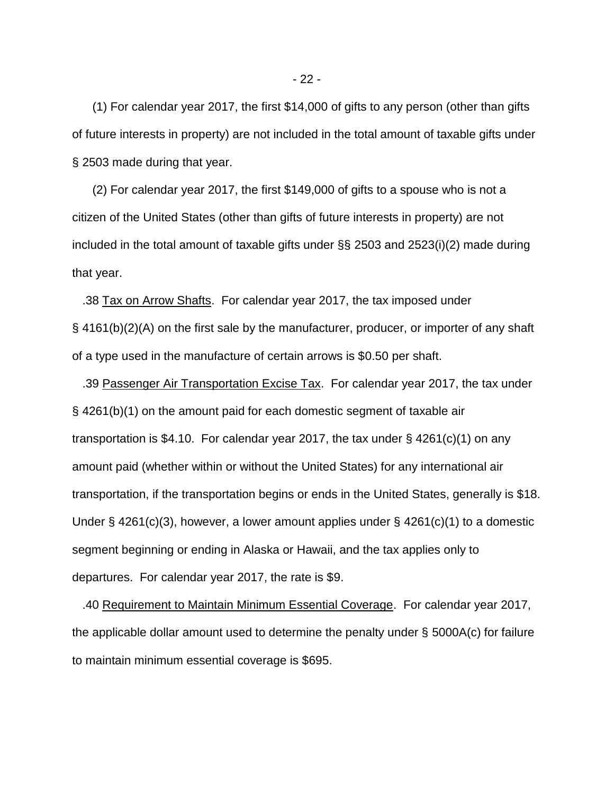(1) For calendar year 2017, the first \$14,000 of gifts to any person (other than gifts of future interests in property) are not included in the total amount of taxable gifts under § 2503 made during that year.

 (2) For calendar year 2017, the first \$149,000 of gifts to a spouse who is not a citizen of the United States (other than gifts of future interests in property) are not included in the total amount of taxable gifts under §§ 2503 and 2523(i)(2) made during that year.

 .38 Tax on Arrow Shafts. For calendar year 2017, the tax imposed under § 4161(b)(2)(A) on the first sale by the manufacturer, producer, or importer of any shaft of a type used in the manufacture of certain arrows is \$0.50 per shaft.

 .39 Passenger Air Transportation Excise Tax. For calendar year 2017, the tax under § 4261(b)(1) on the amount paid for each domestic segment of taxable air transportation is \$4.10. For calendar year 2017, the tax under  $\S$  4261(c)(1) on any amount paid (whether within or without the United States) for any international air transportation, if the transportation begins or ends in the United States, generally is \$18. Under  $\S$  4261(c)(3), however, a lower amount applies under  $\S$  4261(c)(1) to a domestic segment beginning or ending in Alaska or Hawaii, and the tax applies only to departures. For calendar year 2017, the rate is \$9.

 .40 Requirement to Maintain Minimum Essential Coverage. For calendar year 2017, the applicable dollar amount used to determine the penalty under § 5000A(c) for failure to maintain minimum essential coverage is \$695.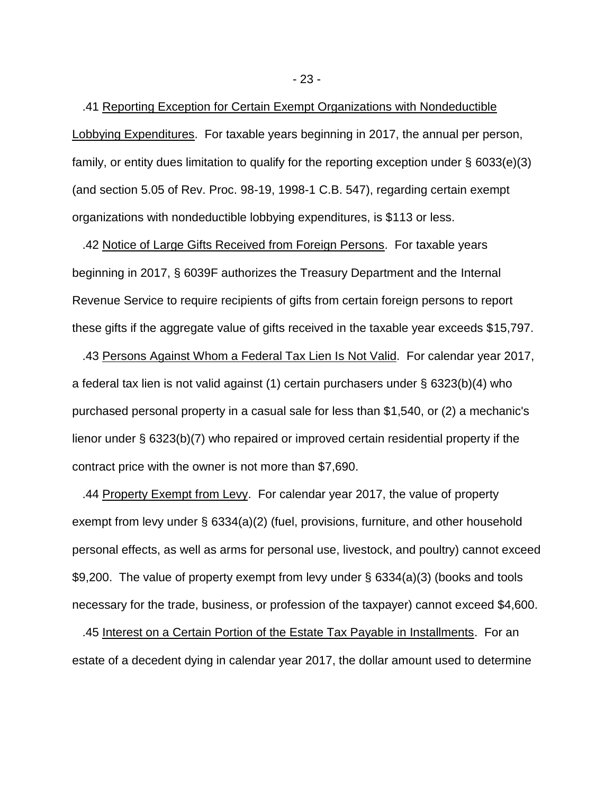.41 Reporting Exception for Certain Exempt Organizations with Nondeductible Lobbying Expenditures. For taxable years beginning in 2017, the annual per person, family, or entity dues limitation to qualify for the reporting exception under § 6033(e)(3) (and section 5.05 of Rev. Proc. 98-19, 1998-1 C.B. 547), regarding certain exempt organizations with nondeductible lobbying expenditures, is \$113 or less.

 .42 Notice of Large Gifts Received from Foreign Persons. For taxable years beginning in 2017, § 6039F authorizes the Treasury Department and the Internal Revenue Service to require recipients of gifts from certain foreign persons to report these gifts if the aggregate value of gifts received in the taxable year exceeds \$15,797.

 .43 Persons Against Whom a Federal Tax Lien Is Not Valid. For calendar year 2017, a federal tax lien is not valid against (1) certain purchasers under § 6323(b)(4) who purchased personal property in a casual sale for less than \$1,540, or (2) a mechanic's lienor under § 6323(b)(7) who repaired or improved certain residential property if the contract price with the owner is not more than \$7,690.

 .44 Property Exempt from Levy. For calendar year 2017, the value of property exempt from levy under § 6334(a)(2) (fuel, provisions, furniture, and other household personal effects, as well as arms for personal use, livestock, and poultry) cannot exceed \$9,200. The value of property exempt from levy under § 6334(a)(3) (books and tools necessary for the trade, business, or profession of the taxpayer) cannot exceed \$4,600.

 .45 Interest on a Certain Portion of the Estate Tax Payable in Installments. For an estate of a decedent dying in calendar year 2017, the dollar amount used to determine

- 23 -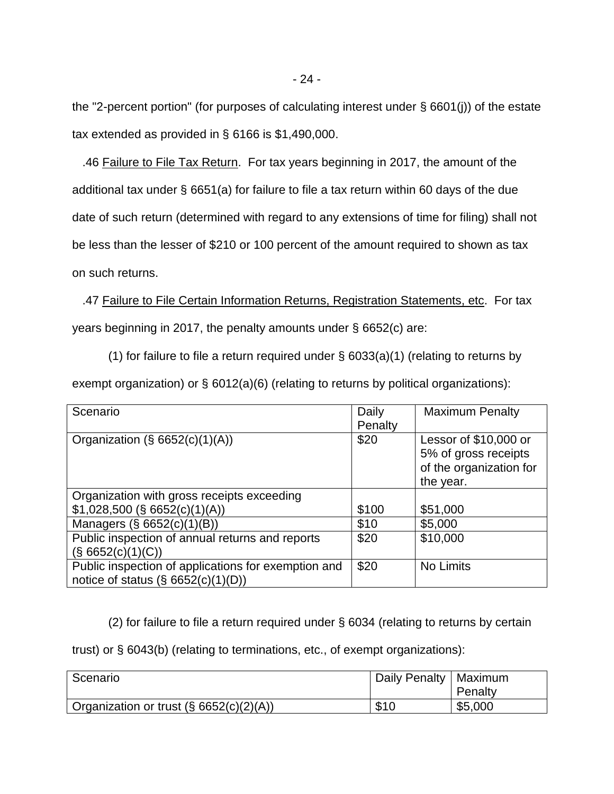the "2-percent portion" (for purposes of calculating interest under § 6601(j)) of the estate tax extended as provided in § 6166 is \$1,490,000.

 .46 Failure to File Tax Return. For tax years beginning in 2017, the amount of the additional tax under § 6651(a) for failure to file a tax return within 60 days of the due date of such return (determined with regard to any extensions of time for filing) shall not be less than the lesser of \$210 or 100 percent of the amount required to shown as tax on such returns.

 .47 Failure to File Certain Information Returns, Registration Statements, etc. For tax years beginning in 2017, the penalty amounts under § 6652(c) are:

(1) for failure to file a return required under  $\S$  6033(a)(1) (relating to returns by

exempt organization) or § 6012(a)(6) (relating to returns by political organizations):

| Scenario                                                                                     | Daily<br>Penalty | <b>Maximum Penalty</b>                                                                |
|----------------------------------------------------------------------------------------------|------------------|---------------------------------------------------------------------------------------|
| Organization (§ $6652(c)(1)(A)$ )                                                            | \$20             | Lessor of \$10,000 or<br>5% of gross receipts<br>of the organization for<br>the year. |
| Organization with gross receipts exceeding                                                   |                  |                                                                                       |
| $$1,028,500$ (§ 6652(c)(1)(A))                                                               | \$100            | \$51,000                                                                              |
| Managers (§ 6652(c)(1)(B))                                                                   | \$10             | \$5,000                                                                               |
| Public inspection of annual returns and reports<br>(S 6652(c)(1)(C))                         | \$20             | \$10,000                                                                              |
| Public inspection of applications for exemption and<br>notice of status $(\S 6652(c)(1)(D))$ | \$20             | No Limits                                                                             |

(2) for failure to file a return required under § 6034 (relating to returns by certain

trust) or § 6043(b) (relating to terminations, etc., of exempt organizations):

| Scenario                                  | ' Daily Penalty   Maximum | Penalty |
|-------------------------------------------|---------------------------|---------|
| Organization or trust $(S 6652(c)(2)(A))$ | \$10                      | \$5,000 |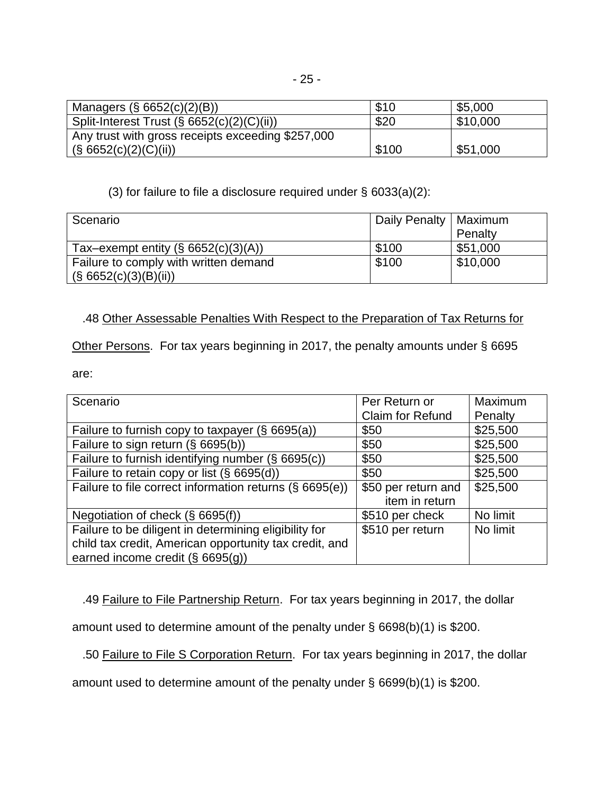| Managers $(\S 6652(c)(2)(B))$                     | \$10  | \$5,000  |
|---------------------------------------------------|-------|----------|
| Split-Interest Trust (§ 6652(c)(2)(C)(ii))        | \$20  | \$10,000 |
| Any trust with gross receipts exceeding \$257,000 |       |          |
| (§ 6652(c)(2)(C)(ii))                             | \$100 | \$51,000 |

### (3) for failure to file a disclosure required under § 6033(a)(2):

| Scenario                               | Daily Penalty   Maximum | Penalty  |
|----------------------------------------|-------------------------|----------|
| Tax-exempt entity $(\S 6652(c)(3)(A))$ | \$100                   | \$51,000 |
| Failure to comply with written demand  | \$100                   | \$10,000 |
| $\vert$ (§ 6652(c)(3)(B)(ii))          |                         |          |

## .48 Other Assessable Penalties With Respect to the Preparation of Tax Returns for

Other Persons. For tax years beginning in 2017, the penalty amounts under § 6695

are:

| Scenario                                                | Per Return or           | Maximum  |
|---------------------------------------------------------|-------------------------|----------|
|                                                         | <b>Claim for Refund</b> | Penalty  |
| Failure to furnish copy to taxpayer (§ 6695(a))         | \$50                    | \$25,500 |
| Failure to sign return (§ 6695(b))                      | \$50                    | \$25,500 |
| Failure to furnish identifying number (§ 6695(c))       | \$50                    | \$25,500 |
| Failure to retain copy or list (§ 6695(d))              | \$50                    | \$25,500 |
| Failure to file correct information returns (§ 6695(e)) | \$50 per return and     | \$25,500 |
|                                                         | item in return          |          |
| Negotiation of check $(\S 6695(f))$                     | \$510 per check         | No limit |
| Failure to be diligent in determining eligibility for   | \$510 per return        | No limit |
| child tax credit, American opportunity tax credit, and  |                         |          |
| earned income credit $(\S$ 6695(g))                     |                         |          |

.49 Failure to File Partnership Return. For tax years beginning in 2017, the dollar

amount used to determine amount of the penalty under § 6698(b)(1) is \$200.

.50 Failure to File S Corporation Return. For tax years beginning in 2017, the dollar

amount used to determine amount of the penalty under § 6699(b)(1) is \$200.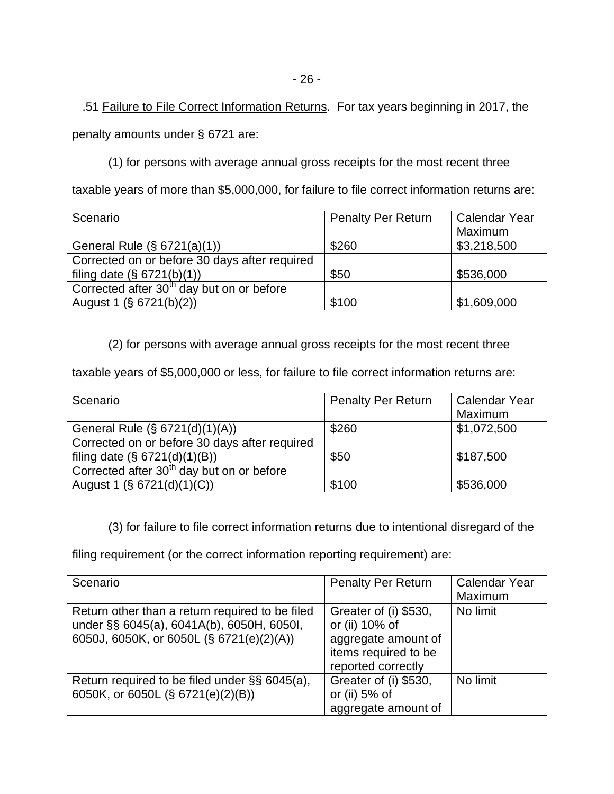.51 Failure to File Correct Information Returns. For tax years beginning in 2017, the penalty amounts under § 6721 are:

(1) for persons with average annual gross receipts for the most recent three

taxable years of more than \$5,000,000, for failure to file correct information returns are:

| Scenario                                              | <b>Penalty Per Return</b> | <b>Calendar Year</b> |
|-------------------------------------------------------|---------------------------|----------------------|
|                                                       |                           | Maximum              |
| General Rule (§ 6721(a)(1))                           | \$260                     | \$3,218,500          |
| Corrected on or before 30 days after required         |                           |                      |
| filing date $(\S 6721(b)(1))$                         | \$50                      | \$536,000            |
| Corrected after 30 <sup>th</sup> day but on or before |                           |                      |
| August 1 (§ 6721(b)(2))                               | \$100                     | \$1,609,000          |

(2) for persons with average annual gross receipts for the most recent three

taxable years of \$5,000,000 or less, for failure to file correct information returns are:

| Scenario                                              | <b>Penalty Per Return</b> | <b>Calendar Year</b> |
|-------------------------------------------------------|---------------------------|----------------------|
|                                                       |                           | Maximum              |
| General Rule (§ 6721(d)(1)(A))                        | \$260                     | \$1,072,500          |
| Corrected on or before 30 days after required         |                           |                      |
| filing date $(\S 6721(d)(1)(B))$                      | \$50                      | \$187,500            |
| Corrected after 30 <sup>th</sup> day but on or before |                           |                      |
| August 1 (§ 6721(d)(1)(C))                            | \$100                     | \$536,000            |

(3) for failure to file correct information returns due to intentional disregard of the

filing requirement (or the correct information reporting requirement) are:

| Scenario                                                                                                                                 | <b>Penalty Per Return</b>                                                                                    | <b>Calendar Year</b><br>Maximum |
|------------------------------------------------------------------------------------------------------------------------------------------|--------------------------------------------------------------------------------------------------------------|---------------------------------|
| Return other than a return required to be filed<br>under §§ 6045(a), 6041A(b), 6050H, 6050I,<br>6050J, 6050K, or 6050L (§ 6721(e)(2)(A)) | Greater of (i) \$530,<br>or (ii) 10% of<br>aggregate amount of<br>items required to be<br>reported correctly | No limit                        |
| Return required to be filed under §§ 6045(a),<br>6050K, or 6050L (§ 6721(e)(2)(B))                                                       | Greater of (i) \$530.<br>or (ii) 5% of<br>aggregate amount of                                                | No limit                        |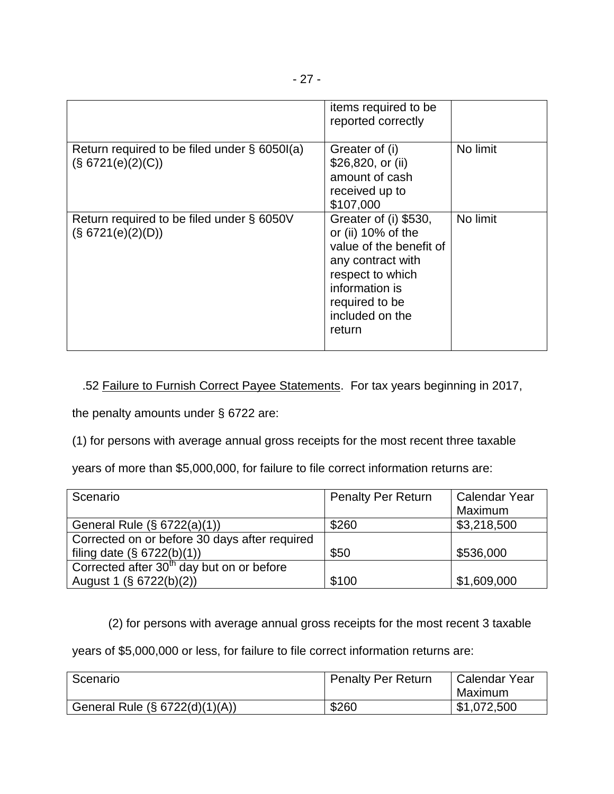|                                                                      | items required to be<br>reported correctly                                                                                                                                       |          |
|----------------------------------------------------------------------|----------------------------------------------------------------------------------------------------------------------------------------------------------------------------------|----------|
| Return required to be filed under $\S$ 6050I(a)<br>(S 6721(e)(2)(C)) | Greater of (i)<br>\$26,820, or (ii)<br>amount of cash<br>received up to<br>\$107,000                                                                                             | No limit |
| Return required to be filed under § 6050V<br>(S 6721(e)(2)(D))       | Greater of (i) \$530,<br>or (ii) 10% of the<br>value of the benefit of<br>any contract with<br>respect to which<br>information is<br>required to be<br>included on the<br>return | No limit |

## .52 Failure to Furnish Correct Payee Statements. For tax years beginning in 2017,

the penalty amounts under § 6722 are:

(1) for persons with average annual gross receipts for the most recent three taxable

years of more than \$5,000,000, for failure to file correct information returns are:

| Scenario                                              | <b>Penalty Per Return</b> | <b>Calendar Year</b> |
|-------------------------------------------------------|---------------------------|----------------------|
|                                                       |                           | Maximum              |
| General Rule (§ 6722(a)(1))                           | \$260                     | \$3,218,500          |
| Corrected on or before 30 days after required         |                           |                      |
| filing date $(\S 6722(b)(1))$                         | \$50                      | \$536,000            |
| Corrected after 30 <sup>th</sup> day but on or before |                           |                      |
| August 1 (§ 6722(b)(2))                               | \$100                     | \$1,609,000          |

(2) for persons with average annual gross receipts for the most recent 3 taxable

years of \$5,000,000 or less, for failure to file correct information returns are:

| Scenario                       | <b>Penalty Per Return</b> | Calendar Year<br>Maximum |
|--------------------------------|---------------------------|--------------------------|
| General Rule (§ 6722(d)(1)(A)) | \$260                     | \$1,072,500              |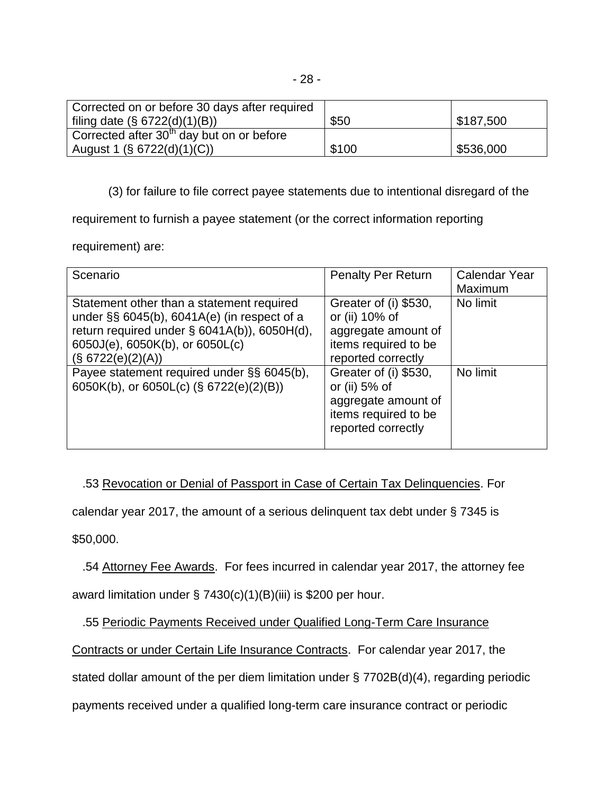| Corrected on or before 30 days after required         |       |                         |
|-------------------------------------------------------|-------|-------------------------|
| filing date $(\S 6722(d)(1)(B))$                      | \$50  | $\frac{1}{2}$ \$187,500 |
| Corrected after 30 <sup>th</sup> day but on or before |       |                         |
| August 1 (§ 6722(d)(1)(C))                            | \$100 | \$536,000               |

(3) for failure to file correct payee statements due to intentional disregard of the

requirement to furnish a payee statement (or the correct information reporting

requirement) are:

| Scenario                                                                                                                                                                                                | <b>Penalty Per Return</b>                                                                                     | Calendar Year<br>Maximum |
|---------------------------------------------------------------------------------------------------------------------------------------------------------------------------------------------------------|---------------------------------------------------------------------------------------------------------------|--------------------------|
| Statement other than a statement required<br>under $\S$ § 6045(b), 6041A(e) (in respect of a<br>return required under $\S$ 6041A(b)), 6050H(d),<br>6050J(e), 6050K(b), or 6050L(c)<br>(S 6722(e)(2)(A)) | Greater of (i) \$530,<br>or (ii) 10% of<br>aggregate amount of<br>items required to be<br>reported correctly  | No limit                 |
| Payee statement required under §§ 6045(b),<br>6050K(b), or 6050L(c) (§ 6722(e)(2)(B))                                                                                                                   | Greater of (i) \$530,<br>or (ii) $5%$ of<br>aggregate amount of<br>items required to be<br>reported correctly | No limit                 |

### .53 Revocation or Denial of Passport in Case of Certain Tax Delinquencies. For

calendar year 2017, the amount of a serious delinquent tax debt under § 7345 is

\$50,000.

.54 Attorney Fee Awards. For fees incurred in calendar year 2017, the attorney fee

award limitation under § 7430(c)(1)(B)(iii) is \$200 per hour.

.55 Periodic Payments Received under Qualified Long-Term Care Insurance

Contracts or under Certain Life Insurance Contracts. For calendar year 2017, the

stated dollar amount of the per diem limitation under § 7702B(d)(4), regarding periodic

payments received under a qualified long-term care insurance contract or periodic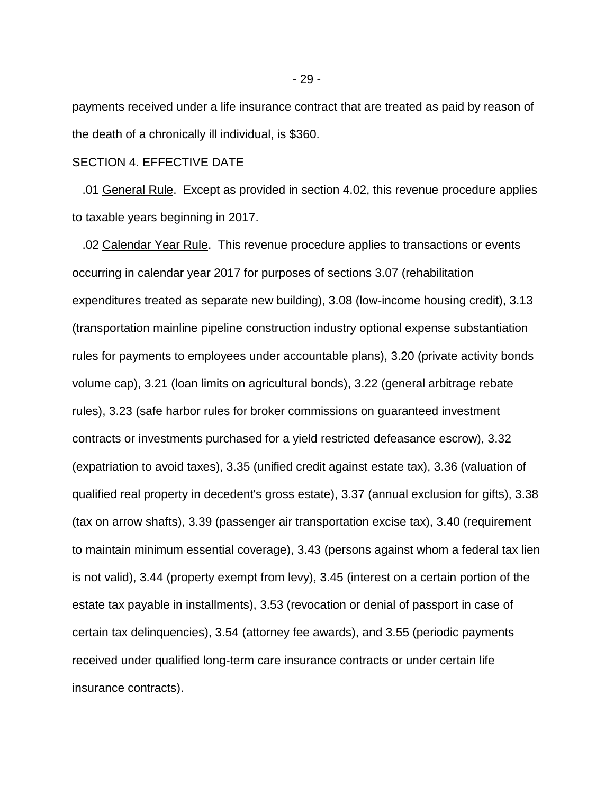payments received under a life insurance contract that are treated as paid by reason of the death of a chronically ill individual, is \$360.

#### SECTION 4. EFFECTIVE DATE

 .01 General Rule. Except as provided in section 4.02, this revenue procedure applies to taxable years beginning in 2017.

 .02 Calendar Year Rule. This revenue procedure applies to transactions or events occurring in calendar year 2017 for purposes of sections 3.07 (rehabilitation expenditures treated as separate new building), 3.08 (low-income housing credit), 3.13 (transportation mainline pipeline construction industry optional expense substantiation rules for payments to employees under accountable plans), 3.20 (private activity bonds volume cap), 3.21 (loan limits on agricultural bonds), 3.22 (general arbitrage rebate rules), 3.23 (safe harbor rules for broker commissions on guaranteed investment contracts or investments purchased for a yield restricted defeasance escrow), 3.32 (expatriation to avoid taxes), 3.35 (unified credit against estate tax), 3.36 (valuation of qualified real property in decedent's gross estate), 3.37 (annual exclusion for gifts), 3.38 (tax on arrow shafts), 3.39 (passenger air transportation excise tax), 3.40 (requirement to maintain minimum essential coverage), 3.43 (persons against whom a federal tax lien is not valid), 3.44 (property exempt from levy), 3.45 (interest on a certain portion of the estate tax payable in installments), 3.53 (revocation or denial of passport in case of certain tax delinquencies), 3.54 (attorney fee awards), and 3.55 (periodic payments received under qualified long-term care insurance contracts or under certain life insurance contracts).